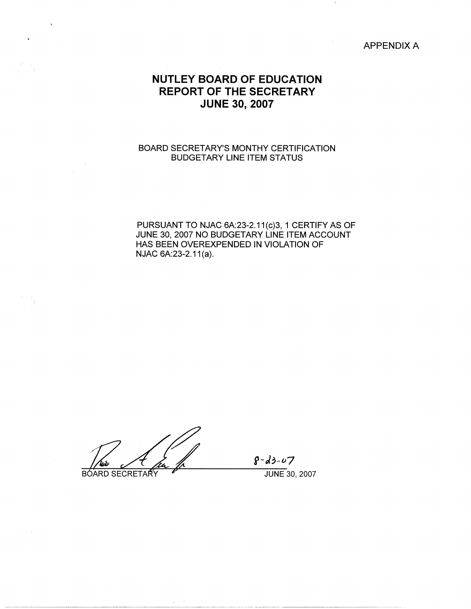APPENDIX A

# **NUTLEY BOARD OF EDUCATION REPORT OF THE SECRETARY JUNE 30, 2007**

## BOARD SECRETARY'S MONTHY CERTIFICATION BUDGETARY LINE ITEM STATUS

PURSUANT TO NJAC 6A:23-2.11(c)3, 1 CERTIFY AS OF JUNE 30, 2007 NO BUDGETARY LINE ITEM ACCOUNT HAS BEEN OVEREXPENDED IN VIOLATION OF NJAC 6A:23-2.11(a).

BOARD SECRETARY

 $8 - d3 - 07$ 

JUNE 30, 2007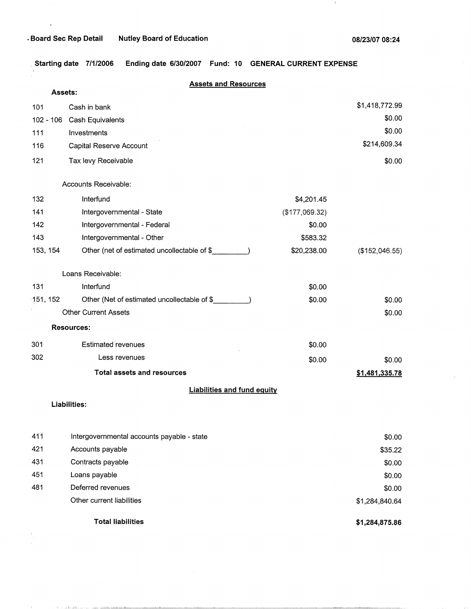1000 contractions are also assigned to

 $\pm 1$ 

, **Starting date 7/1/2006 Ending date 6/30/2007 Fund: 10 GENERAL CURRENT EXPENSE** 

|             | <b>Assets and Resources</b>                 |                |                |
|-------------|---------------------------------------------|----------------|----------------|
| Assets:     |                                             |                |                |
| 101         | Cash in bank                                |                | \$1,418,772.99 |
| $102 - 106$ | Cash Equivalents                            |                | \$0.00         |
| 111         | Investments                                 |                | \$0.00         |
| 116         | Capital Reserve Account                     |                | \$214,609.34   |
| 121         | Tax levy Receivable                         |                | \$0.00         |
|             | Accounts Receivable:                        |                |                |
| 132         | Interfund                                   | \$4,201.45     |                |
| 141         | Intergovernmental - State                   | (\$177,069.32) |                |
| 142         | Intergovernmental - Federal                 | \$0.00         |                |
| 143         | Intergovernmental - Other                   | \$583.32       |                |
| 153, 154    | Other (net of estimated uncollectable of \$ | \$20,238.00    | (\$152,046.55) |
|             | Loans Receivable:                           |                |                |
| 131         | Interfund                                   | \$0.00         |                |
| 151, 152    | Other (Net of estimated uncollectable of \$ | \$0.00         | \$0.00         |
|             | <b>Other Current Assets</b>                 |                | \$0.00         |
|             | <b>Resources:</b>                           |                |                |
| 301         | <b>Estimated revenues</b>                   | \$0.00         |                |
| 302         | Less revenues                               | \$0.00         | \$0.00         |
|             | <b>Total assets and resources</b>           |                | \$1,481,335.78 |
|             | <b>Liabilities and fund equity</b>          |                |                |
|             | <b>Liabilities:</b>                         |                |                |
| 411         | Intergovernmental accounts payable - state  |                | \$0.00         |
| 421         | Accounts payable                            |                | \$35.22        |
| 431         | Contracts payable                           |                | \$0.00         |
| 451         | Loans payable                               |                | \$0.00         |
| 481         | Deferred revenues                           |                | \$0.00         |
|             | Other current liabilities                   |                | \$1,284,840.64 |
|             | <b>Total liabilities</b>                    |                | \$1,284,875.86 |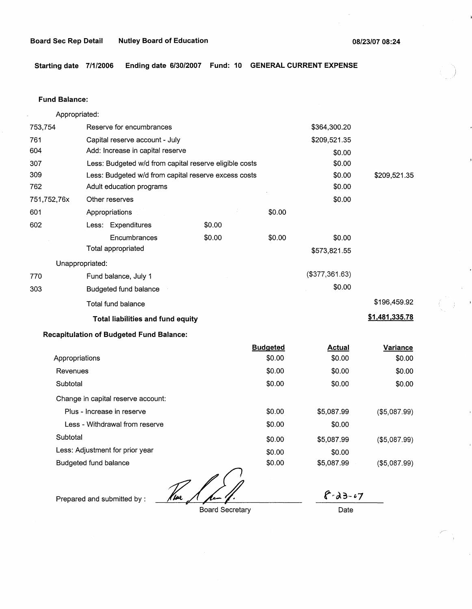**Starting date 7/1/2006 Ending date 6/30/2007 Fund: 10 GENERAL CURRENT EXPENSE** 

#### **Fund Balance:**

| Appropriated:  |                                                        |               |                 |                |                |
|----------------|--------------------------------------------------------|---------------|-----------------|----------------|----------------|
| 753,754        | Reserve for encumbrances                               |               |                 | \$364,300.20   |                |
| 761            | Capital reserve account - July                         |               |                 | \$209,521.35   |                |
| 604            | Add: Increase in capital reserve                       |               |                 | \$0.00         |                |
| 307            | Less: Budgeted w/d from capital reserve eligible costs |               |                 | \$0.00         |                |
| 309            | Less: Budgeted w/d from capital reserve excess costs   |               |                 | \$0.00         | \$209,521.35   |
| 762            | Adult education programs                               |               |                 | \$0.00         |                |
| 751,752,76x    | Other reserves                                         |               |                 | \$0.00         |                |
| 601            | Appropriations                                         |               | \$0.00          |                |                |
| 602            | Less: Expenditures                                     | \$0.00        |                 |                |                |
|                | Encumbrances                                           | \$0.00        | \$0.00          | \$0.00         |                |
|                | Total appropriated                                     |               |                 | \$573,821.55   |                |
|                | Unappropriated:                                        |               |                 |                |                |
| 770            | Fund balance, July 1                                   |               |                 | (\$377,361.63) |                |
| 303            | Budgeted fund balance                                  |               |                 | \$0.00         |                |
|                | Total fund balance                                     |               |                 |                | \$196,459.92   |
|                | Total liabilities and fund equity                      |               |                 |                | \$1,481,335.78 |
|                | <b>Recapitulation of Budgeted Fund Balance:</b>        |               |                 |                |                |
|                |                                                        |               | <b>Budgeted</b> | <b>Actual</b>  | Variance       |
| Appropriations |                                                        |               | \$0.00          | \$0.00         | \$0.00         |
| Revenues       |                                                        |               | \$0.00          | \$0.00         | \$0.00         |
| Subtotal       |                                                        |               | \$0.00          | \$0.00         | \$0.00         |
|                | Change in capital reserve account:                     |               |                 |                |                |
|                | Plus - Increase in reserve                             |               | \$0.00          | \$5,087.99     | (\$5,087.99)   |
|                | Less - Withdrawal from reserve                         |               | \$0.00          | \$0.00         |                |
| Subtotal       |                                                        |               | \$0.00          | \$5,087.99     | (\$5,087.99)   |
|                | Less: Adjustment for prior year                        |               | \$0.00          | \$0.00         |                |
|                | Budgeted fund balance                                  |               | \$0.00          | \$5,087.99     | (\$5,087.99)   |
|                |                                                        | $\mathscr{N}$ |                 |                |                |

Here & hand

Prepared and submitted by :

Board Secretary

*t~J..?,-r.7*  Date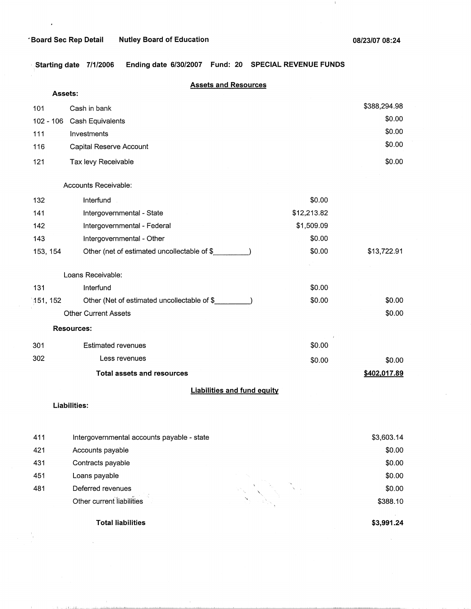$\ddot{\phantom{1}}$ 

 $\mathcal{F}_{\mathcal{A}}^{\mathcal{A}}$ 

 $\mathcal{C}=\{1, \ldots, \mathcal{C}\}$  is the difference of the second second

 $\perp$ 

, **Starting date 7/1/2006 Ending date 6/30/2007 Fund: 20 SPECIAL REVENUE FUNDS** 

|           | <b>Assets and Resources</b><br><b>Assets:</b> |             |              |
|-----------|-----------------------------------------------|-------------|--------------|
|           |                                               |             | \$388,294.98 |
| 101       | Cash in bank                                  |             | \$0.00       |
| 102 - 106 | Cash Equivalents                              |             | \$0.00       |
| 111       | Investments                                   |             | \$0.00       |
| 116       | Capital Reserve Account                       |             |              |
| 121       | Tax levy Receivable                           |             | \$0.00       |
|           | Accounts Receivable:                          |             |              |
| 132       | Interfund                                     | \$0.00      |              |
| 141       | Intergovernmental - State                     | \$12,213.82 |              |
| 142       | Intergovernmental - Federal                   | \$1,509.09  |              |
| 143       | Intergovernmental - Other                     | \$0.00      |              |
| 153, 154  | Other (net of estimated uncollectable of \$   | \$0.00      | \$13,722.91  |
|           | Loans Receivable:                             |             |              |
| 131       | Interfund                                     | \$0.00      |              |
| 151, 152  | Other (Net of estimated uncollectable of \$   | \$0.00      | \$0.00       |
|           | <b>Other Current Assets</b>                   |             | \$0.00       |
|           | <b>Resources:</b>                             |             |              |
| 301       | <b>Estimated revenues</b>                     | \$0.00      |              |
| 302       | Less revenues                                 | \$0.00      | \$0.00       |
|           | <b>Total assets and resources</b>             |             | \$402,017.89 |
|           | <b>Liabilities and fund equity</b>            |             |              |
|           | <b>Liabilities:</b>                           |             |              |
| 411       | Intergovernmental accounts payable - state    |             | \$3,603.14   |
| 421       | Accounts payable                              |             | \$0.00       |
| 431       | Contracts payable                             |             | \$0.00       |
| 451       | Loans payable<br>$\gamma_{\eta_1}$            |             | \$0.00       |

|       | <b>Total liabilities</b>                 | \$3,991.24 |
|-------|------------------------------------------|------------|
|       | Other current liabilities                | \$388.10   |
| 481   | Deferred revenues                        | \$0.00     |
| 451   | Loans payable                            | \$0.00     |
| 431   | Contracts payable                        | \$0.00     |
| 421   | Accounts payable                         | \$0.00     |
| 4 I I | mergovernmental accounts payable - state | \$3,003.14 |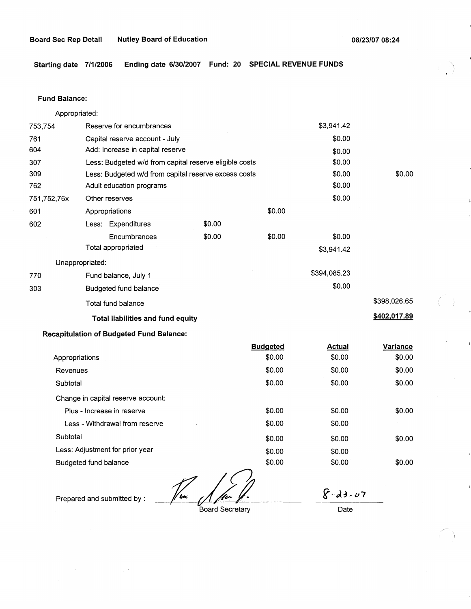$\left(\rule{0pt}{10pt}\right.$ 

,,-  $\lambda$ 

**Starting date 7/1/2006 Ending date 6/30/2007 Fund: 20 SPECIAL REVENUE FUNDS** 

#### **Fund Balance:**

753,754 761 604 Appropriated: Reserve for encumbrances Capital reserve account - July Add: Increase in capital reserve 307 309 762 751,752,76x 601 Less: Budgeted w/d from capital reserve eligible costs Less: Budgeted w/d from capital reserve excess costs Adult education programs 602 Other reserves Appropriations Less: Expenditures Encumbrances Total appropriated Unappropriated: 770 Fund balance, July 1 303 Budgeted fund balance Total fund balance **Total liabilities and fund equity Recapitulation of Budgeted Fund Balance:**  \$0.00 \$0.00 \$0.00 \$0.00 Appropriations **Budgeted**  \$0.00 \$3,941.42 \$0.00 \$0.00 \$0.00 \$0.00 \$0.00 \$0.00 \$0.00 \$3,941.42 \$394,085.23 \$0.00 **Actual**  \$0.00 \$0.00 \$398,026.65 **\$402,017.89 Variance**  \$0.00

| Revenues                           | \$0.00 | \$0.00 | \$0.00 |
|------------------------------------|--------|--------|--------|
| Subtotal                           | \$0.00 | \$0.00 | \$0.00 |
| Change in capital reserve account: |        |        |        |
| Plus - Increase in reserve         | \$0.00 | \$0.00 | \$0.00 |
| Less - Withdrawal from reserve     | \$0.00 | \$0.00 |        |
| Subtotal                           | \$0.00 | \$0.00 | \$0.00 |
| Less: Adjustment for prior year    | \$0.00 | \$0.00 |        |
| Budgeted fund balance              | \$0.00 | \$0.00 | \$0.00 |
|                                    |        |        |        |

//w

Prepared and submitted by :

Board Secretary

 $8 - 23 - 07$ 

Date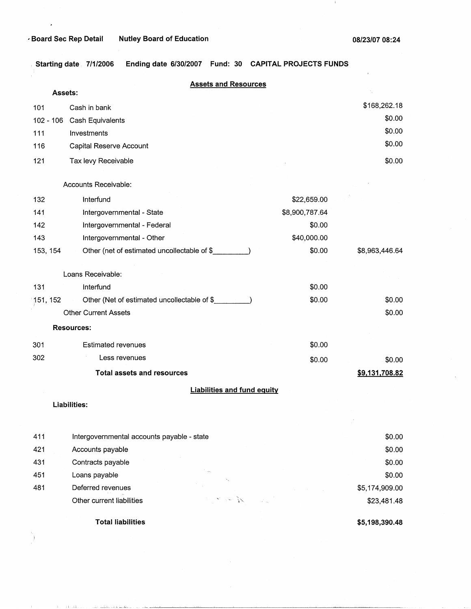$\cdot$ 

 $\mathbf{1}$ 

, **Starting date 7/1/2006 Ending date 6/30/2007 Fund: 30 CAPITAL PROJECTS FUNDS** 

|          | Assets:                     |                                             | <b>Assets and Resources</b>        |                |                |
|----------|-----------------------------|---------------------------------------------|------------------------------------|----------------|----------------|
| 101      | Cash in bank                |                                             |                                    |                | \$168,262.18   |
|          | 102 - 106 Cash Equivalents  |                                             |                                    |                | \$0.00         |
| 111      | Investments                 |                                             |                                    |                | \$0.00         |
| 116      |                             | Capital Reserve Account                     |                                    |                | \$0.00         |
| 121      | Tax levy Receivable         |                                             |                                    |                | \$0.00         |
|          | Accounts Receivable:        |                                             |                                    |                |                |
| 132      | Interfund                   |                                             |                                    | \$22,659.00    |                |
| 141      |                             | Intergovernmental - State                   |                                    | \$8,900,787.64 |                |
| 142      |                             | Intergovernmental - Federal                 |                                    | \$0.00         |                |
| 143      |                             | Intergovernmental - Other                   |                                    | \$40,000.00    |                |
| 153, 154 |                             | Other (net of estimated uncollectable of \$ |                                    | \$0.00         | \$8,963,446.64 |
|          | Loans Receivable:           |                                             |                                    |                |                |
| 131      | Interfund                   |                                             |                                    | \$0.00         |                |
| 151, 152 |                             | Other (Net of estimated uncollectable of \$ |                                    | \$0.00         | \$0.00         |
|          | <b>Other Current Assets</b> |                                             |                                    |                | \$0.00         |
|          | <b>Resources:</b>           |                                             |                                    |                |                |
| 301      |                             | <b>Estimated revenues</b>                   |                                    | \$0.00         |                |
| 302      |                             | Less revenues                               |                                    | \$0.00         | \$0.00         |
|          |                             | <b>Total assets and resources</b>           |                                    |                | \$9,131,708.82 |
|          |                             |                                             | <b>Liabilities and fund equity</b> |                |                |
|          | Liabilities:                |                                             |                                    |                |                |
|          |                             |                                             |                                    |                |                |
| 411      |                             | Intergovernmental accounts payable - state  |                                    |                | \$0.00         |
| 421      | Accounts payable            |                                             |                                    |                | \$0.00         |
| 431      | Contracts payable           |                                             |                                    |                | \$0.00         |
| 451      | Loans payable               |                                             |                                    |                | \$0.00         |
| 481      | Deferred revenues           |                                             |                                    |                | \$5,174,909.00 |
|          |                             | Other current liabilities                   | Service Re                         |                | \$23,481.48    |

**Total liabilities** 

**\$5,198,390.48**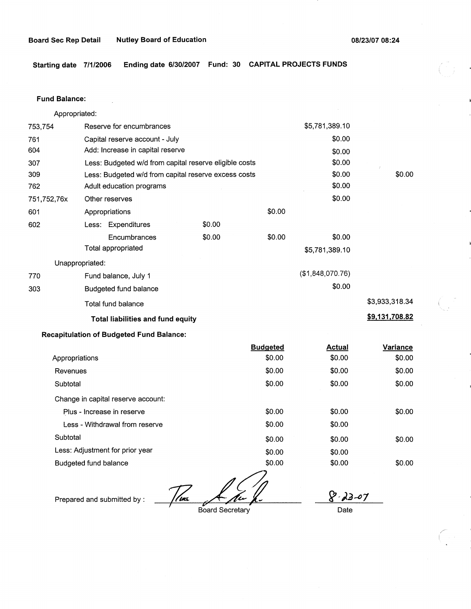**Starting date 7/1/2006 Ending date 6/30/2007 Fund: 30 CAPITAL PROJECTS FUNDS** 

#### **Fund Balance:**

753,754 761 604 Appropriated: Reserve for encumbrances Capital reserve account - July Add: Increase in capital reserve 307 309 762 751,752,76x 601 Less: Budgeted w/d from capital reserve eligible costs Less: Budgeted w/d from capital reserve excess costs Adult education programs 602 Other reserves Appropriations Less: Expenditures Encumbrances Total appropriated Unappropriated: 770 Fund balance, July 1 303 Budgeted fund balance Total fund balance **Total liabilities and fund equity Recapitulation of Budgeted Fund Balance:**  \$0.00 \$0.00 \$0.00 \$0.00 Appropriations Revenues **Subtotal Budgeted**  \$0.00 Change in capital reserve account: Plus - Increase in reserve Less - Withdrawal from reserve **Subtotal** Less: Adjustment for prior year \$0.00 \$0.00 \$0.00 \$0.00 \$0.00 \$0;00 \$5,781,389.10 \$0.00 \$0.00 \$0.00 \$0.00 \$0.00 \$0.00 \$0.00 \$0.00 \$5,781,389.10 (\$1,848,070.76) \$0.00 \$3,933,318.34 **\$9,131,708.82 Actual Variance**  \$0.00 \$0.00 \$0.00 \$0.00 \$0.00 \$0.00 \$0.00 \$0.00 \$0.00 \$0.00 \$0.00 \$0.00

Budgeted fund balance

 $\frac{1}{2\pi}$   $\frac{1}{2\pi}$  Board Secretary

\$0.00

 $8.23 - 07$ 

\$0.00 \$0.00

Prepared and submitted by :

Date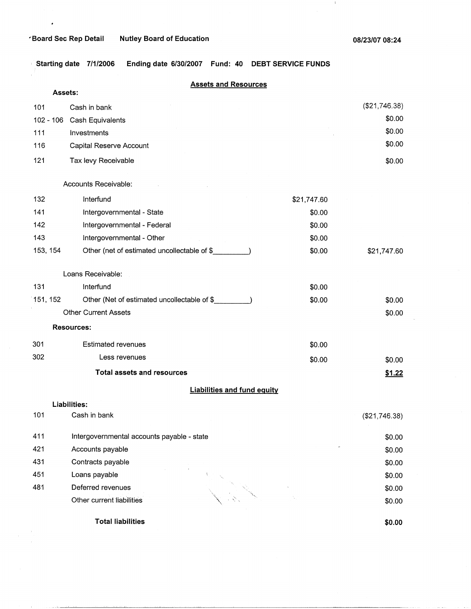$\hat{\boldsymbol{\theta}}$ 

 $\pm$ 

**1** Starting date 7/1/2006 Ending date 6/30/2007 Fund: 40 DEBT SERVICE FUNDS

|             | <b>Assets and Resources</b>                 |             |               |
|-------------|---------------------------------------------|-------------|---------------|
| Assets:     |                                             |             |               |
| 101         | Cash in bank                                |             | (\$21,746.38) |
| $102 - 106$ | Cash Equivalents                            |             | \$0.00        |
| 111         | Investments                                 |             | \$0.00        |
| 116         | Capital Reserve Account                     |             | \$0.00        |
| 121         | Tax levy Receivable                         |             | \$0.00        |
|             | Accounts Receivable:                        |             |               |
| 132         | Interfund                                   | \$21,747.60 |               |
| 141         | Intergovernmental - State                   | \$0.00      |               |
| 142         | Intergovernmental - Federal                 | \$0.00      |               |
| 143         | Intergovernmental - Other                   | \$0.00      |               |
| 153, 154    | Other (net of estimated uncollectable of \$ | \$0.00      | \$21,747.60   |
|             | Loans Receivable:                           |             |               |
| 131         | Interfund                                   | \$0.00      |               |
| 151, 152    | Other (Net of estimated uncollectable of \$ | \$0.00      | \$0.00        |
|             | <b>Other Current Assets</b>                 |             | \$0.00        |
|             | <b>Resources:</b>                           |             |               |
| 301         | <b>Estimated revenues</b>                   | \$0.00      |               |
| 302         | Less revenues                               | \$0.00      | \$0.00        |
|             | <b>Total assets and resources</b>           |             | \$1.22        |
|             | <b>Liabilities and fund equity</b>          |             |               |
|             | Liabilities:                                |             |               |
| 101         | Cash in bank                                |             | (\$21,746.38) |
| 411         | Intergovernmental accounts payable - state  |             | \$0.00        |
| 421         | Accounts payable                            |             | \$0.00        |
| 431         | Contracts payable                           |             | \$0.00        |
| 451         | Loans payable                               |             | \$0.00        |
| 481         | Deferred revenues                           |             | \$0.00        |
|             | Other current liabilities                   |             | \$0.00        |
|             | <b>Total liabilities</b>                    |             | \$0.00        |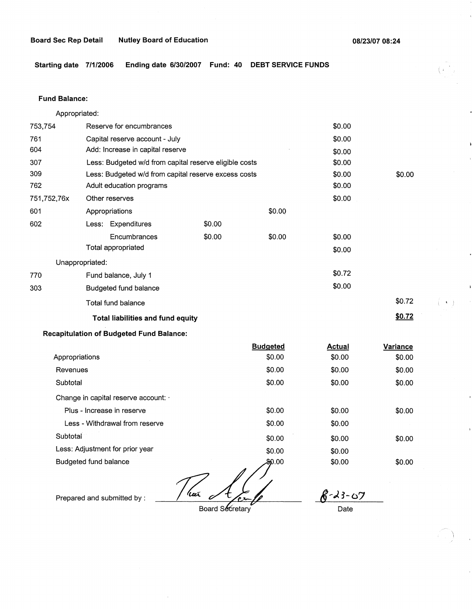$($   $\rightarrow$   $)$ 

**Starting date 7/1/2006 Ending date 6/30/2007 Fund: 40 DEBT SERVICE FUNDS** 

#### **Fund Balance:**

Appropriated:

| 753,754         | Reserve for encumbrances       |                                                        |        |        | \$0.00 |        |
|-----------------|--------------------------------|--------------------------------------------------------|--------|--------|--------|--------|
| 761             | Capital reserve account - July |                                                        |        |        | \$0.00 |        |
| 604             |                                | Add: Increase in capital reserve                       |        |        | \$0.00 |        |
| 307             |                                | Less: Budgeted w/d from capital reserve eligible costs |        |        | \$0.00 |        |
| 309             |                                | Less: Budgeted w/d from capital reserve excess costs   |        |        | \$0.00 | \$0.00 |
| 762             |                                | Adult education programs                               |        |        | \$0.00 |        |
| 751,752,76x     | Other reserves                 |                                                        |        |        | \$0.00 |        |
| 601             | Appropriations                 |                                                        |        | \$0.00 |        |        |
| 602             |                                | Less: Expenditures                                     | \$0.00 |        |        |        |
|                 |                                | Encumbrances                                           | \$0.00 | \$0.00 | \$0.00 |        |
|                 |                                | Total appropriated                                     |        |        | \$0.00 |        |
| Unappropriated: |                                |                                                        |        |        |        |        |
| 770             |                                | Fund balance, July 1                                   |        |        | \$0.72 |        |
| 303             |                                | Budgeted fund balance                                  |        |        | \$0.00 |        |
|                 |                                | Total fund balance                                     |        |        |        | \$0.72 |
|                 |                                | <b>Total liabilities and fund equity</b>               |        |        |        | \$0.72 |
|                 |                                |                                                        |        |        |        |        |

## **Recapitulation of Budgeted Fund Balance:**

|                                    | <b>Budgeted</b> | Actual | Variance |
|------------------------------------|-----------------|--------|----------|
| Appropriations                     | \$0.00          | \$0.00 | \$0.00   |
| Revenues                           | \$0.00          | \$0.00 | \$0.00   |
| Subtotal                           | \$0.00          | \$0.00 | \$0.00   |
| Change in capital reserve account: |                 |        |          |
| Plus - Increase in reserve         | \$0.00          | \$0.00 | \$0.00   |
| Less - Withdrawal from reserve     | \$0.00          | \$0.00 |          |
| Subtotal                           | \$0.00          | \$0.00 | \$0.00   |
| Less: Adjustment for prior year    | \$0.00          | \$0.00 |          |
| Budgeted fund balance              | 00.00\$         | \$0.00 | \$0.00   |

'har

Prepared and submitted by :

Board Secretary

 $8 - 23 - 67$ Date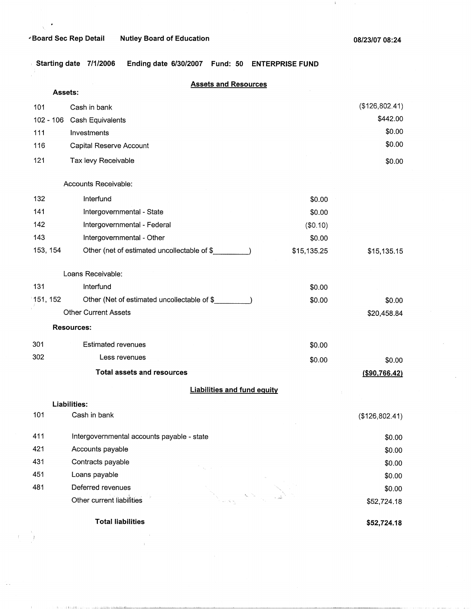$\chi$ 

 $\bar{1}$ 

÷.

 $\sim 10^{-10}$  m

للمستشرعات المتاريب المرابط

 $\mathbf{J}_\mathrm{c}$ 

, **Starting date 7/1/2006 Ending date 6/30/2007 Fund: 50 ENTERPRISE FUND** 

|          |         | <b>Assets and Resources</b>                 |             |                |
|----------|---------|---------------------------------------------|-------------|----------------|
|          | Assets: |                                             |             |                |
| 101      |         | Cash in bank                                |             | (\$126,802.41) |
|          |         | 102 - 106 Cash Equivalents                  |             | \$442.00       |
| 111      |         | Investments                                 |             | \$0.00         |
| 116      |         | Capital Reserve Account                     |             | \$0.00         |
| 121      |         | Tax levy Receivable                         |             | \$0.00         |
|          |         | Accounts Receivable:                        |             |                |
| 132      |         | Interfund                                   | \$0.00      |                |
| 141      |         | Intergovernmental - State                   | \$0.00      |                |
| 142      |         | Intergovernmental - Federal                 | (\$0.10)    |                |
| 143      |         | Intergovernmental - Other                   | \$0.00      |                |
| 153, 154 |         | Other (net of estimated uncollectable of \$ | \$15,135.25 | \$15,135.15    |
|          |         | Loans Receivable:                           |             |                |
| 131      |         | Interfund                                   | \$0.00      |                |
| 151, 152 |         | Other (Net of estimated uncollectable of \$ | \$0.00      | \$0.00         |
|          |         | <b>Other Current Assets</b>                 |             | \$20,458.84    |
|          |         | <b>Resources:</b>                           |             |                |
| 301      |         | <b>Estimated revenues</b>                   | \$0.00      |                |
| 302      |         | Less revenues                               | \$0.00      | \$0.00         |
|          |         | <b>Total assets and resources</b>           |             | (\$90,766.42)  |
|          |         | <b>Liabilities and fund equity</b>          |             |                |
|          |         | Liabilities:                                |             |                |
| 101      |         | Cash in bank                                |             | (\$126,802.41) |
| 411      |         | Intergovernmental accounts payable - state  |             | \$0.00         |
| 421      |         | Accounts payable                            |             | \$0.00         |
| 431      |         | Contracts payable                           |             | \$0.00         |
| 451      |         | Loans payable                               |             | \$0.00         |
| 481      |         | Deferred revenues                           |             | \$0.00         |
|          |         | Other current liabilities                   |             | \$52,724.18    |
|          |         | <b>Total liabilities</b>                    |             | \$52,724.18    |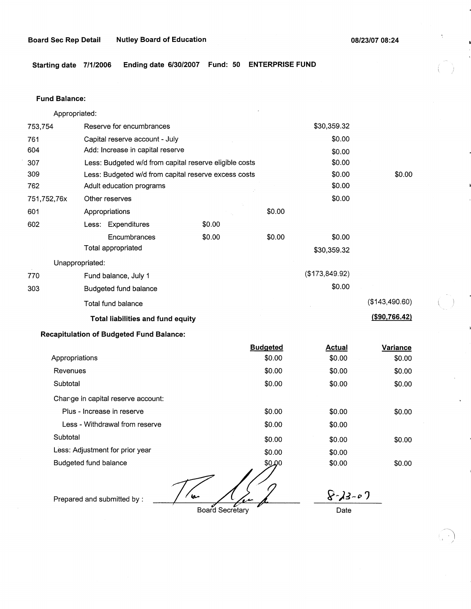**Starting date 7/1/2006 Ending date 6/30/2007 Fund: 50 ENTERPRISE FUND** 

#### **Fund Balance:**

753,754 761 604 Appropriated: Reserve for encumbrances Capital reserve account - July Add: Increase in capital reserve 307 309 762 751,752,76x 601 Less: Budgeted w/d from capital reserve eligible costs Less: Budgeted w/d from capital reserve excess costs Adult education programs 602 Other reserves Appropriations Less: Expenditures **Encumbrances** Total appropriated Unappropriated: 770 Fund balance, July 1 303 Budgeted fund balance Total fund balance **Total· liabilities and fund equity Recapitulation of Budgeted Fund Balance:**  \$0.00 \$0.00 \$0.00 \$0.00 Appropriations Revenues **Subtotal Budgeted**  \$0.00 Change in capital reserve account: Plus - Increase in reserve Less - Withdrawal from reserve **Subtotal** \$0.00 \$0.00 \$0.00 \$0.00 \$0.00 \$30,359.32 \$0.00 \$0.00 \$0.00 \$0.00 \$0.00 \$0.00 \$0.00 \$30,359.32 (\$173,849.92) \$0.00 **Actual**  \$0.00 \$0.00 \$0.00 \$0.00 \$0.00 \$0.00 \$0.00 (\$143,490.60) **(\$90,766.42) Variance**  \$0.00 \$0.00 \$0.00 \$0.00 \$0.00

Less: Adjustment for prior year Budgeted fund balance

 $\mathbf{a}$ 

\$0.00

\$0.00

*~-):J-" ")* 

Prepared and submitted by :

Board Secretary

Date

\$0.00 \$0.00

 $\bigcap$  $\cdot$  /

\$0.00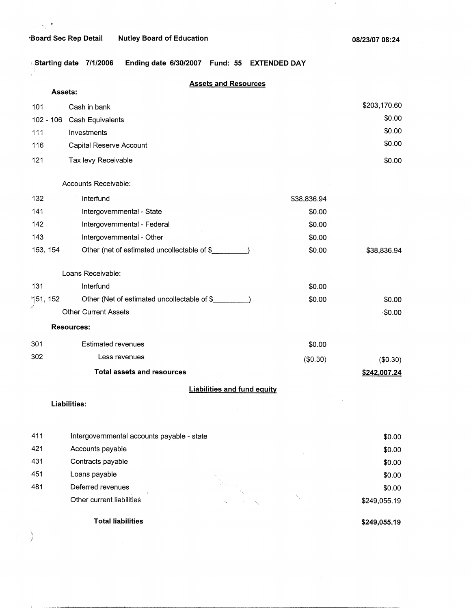## **-Soard Sec Rep Detail Nutley Board of Education**

 $\bullet$ e,

 $\mathbf{J}_\mathrm{c}$ 

Ending date 6/30/2007 Fund: 55 EXTENDED DAY Starting date 7/1/2006

|                 | <b>Assets and Resources</b>                 |             |              |
|-----------------|---------------------------------------------|-------------|--------------|
|                 | Assets:                                     |             |              |
| 101             | Cash in bank                                |             | \$203,170.60 |
| 102 - 106       | Cash Equivalents                            |             | \$0.00       |
| 111             | Investments                                 |             | \$0.00       |
| 116             | Capital Reserve Account                     |             | \$0.00       |
| 121             | Tax levy Receivable                         |             | \$0.00       |
|                 | Accounts Receivable:                        |             |              |
| 132             | Interfund                                   | \$38,836.94 |              |
| 141             | Intergovernmental - State                   | \$0.00      |              |
| 142             | Intergovernmental - Federal                 | \$0.00      |              |
| 143             | Intergovernmental - Other                   | \$0.00      |              |
| 153, 154        | Other (net of estimated uncollectable of \$ | \$0.00      | \$38,836.94  |
|                 | Loans Receivable:                           |             |              |
| 131             | Interfund                                   | \$0.00      |              |
| <b>151, 152</b> | Other (Net of estimated uncollectable of \$ | \$0.00      | \$0.00       |
|                 | <b>Other Current Assets</b>                 |             | $-$ \$0.00   |
|                 | <b>Resources:</b>                           |             |              |
| 301             | <b>Estimated revenues</b>                   | \$0.00      |              |
| 302             | Less revenues                               | (\$0.30)    | (\$0.30)     |
|                 | <b>Total assets and resources</b>           |             | \$242,007.24 |
|                 | <b>Liabilities and fund equity</b>          |             |              |
|                 | Liabilities:                                |             |              |
| 411             | Intergovernmental accounts payable - state  |             | \$0.00       |
| 421             | Accounts payable                            |             | \$0.00       |
| 431             | Contracts payable                           |             | \$0.00       |
| 451             | Loans payable                               |             | \$0.00       |
| 481             | Deferred revenues                           |             | \$0.00       |
|                 | Other current liabilities                   |             | \$249,055.19 |

**Total liabilities** 

)

**\$249,055.19** 

\$249,055.19